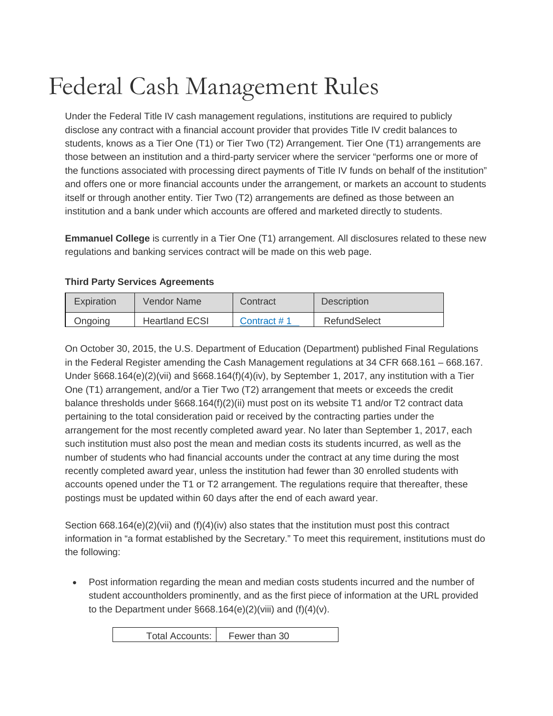## Federal Cash Management Rules

Under the Federal Title IV cash management regulations, institutions are required to publicly disclose any contract with a financial account provider that provides Title IV credit balances to students, knows as a Tier One (T1) or Tier Two (T2) Arrangement. Tier One (T1) arrangements are those between an institution and a third-party servicer where the servicer "performs one or more of the functions associated with processing direct payments of Title IV funds on behalf of the institution" and offers one or more financial accounts under the arrangement, or markets an account to students itself or through another entity. Tier Two (T2) arrangements are defined as those between an institution and a bank under which accounts are offered and marketed directly to students.

**Emmanuel College** is currently in a Tier One (T1) arrangement. All disclosures related to these new regulations and banking services contract will be made on this web page.

## **Third Party Services Agreements**

| Expiration | Vendor Name           | Contract    | Description  |
|------------|-----------------------|-------------|--------------|
| Ongoing    | <b>Heartland ECSI</b> | Contract #1 | RefundSelect |

On October 30, 2015, the U.S. Department of Education (Department) published Final Regulations in the Federal Register amending the Cash Management regulations at 34 CFR 668.161 – 668.167. Under §668.164(e)(2)(vii) and §668.164(f)(4)(iv), by September 1, 2017, any institution with a Tier One (T1) arrangement, and/or a Tier Two (T2) arrangement that meets or exceeds the credit balance thresholds under §668.164(f)(2)(ii) must post on its website T1 and/or T2 contract data pertaining to the total consideration paid or received by the contracting parties under the arrangement for the most recently completed award year. No later than September 1, 2017, each such institution must also post the mean and median costs its students incurred, as well as the number of students who had financial accounts under the contract at any time during the most recently completed award year, unless the institution had fewer than 30 enrolled students with accounts opened under the T1 or T2 arrangement. The regulations require that thereafter, these postings must be updated within 60 days after the end of each award year.

Section  $668.164(e)(2)(vi)$  and  $(f)(4)(iv)$  also states that the institution must post this contract information in "a format established by the Secretary." To meet this requirement, institutions must do the following:

• Post information regarding the mean and median costs students incurred and the number of student accountholders prominently, and as the first piece of information at the URL provided to the Department under  $\S 668.164(e)(2)(v)$  and  $(f)(4)(v)$ .

Total Accounts: Fewer than 30